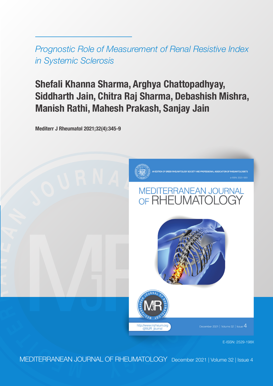*Prognostic Role of Measurement of Renal Resistive Index in Systemic Sclerosis*

# **Shefali Khanna Sharma, Arghya Chattopadhyay, Siddharth Jain, Chitra Raj Sharma, Debashish Mishra, Manish Rathi, Mahesh Prakash, Sanjay Jain**

**Mediterr J Rheumatol 2021;32(4):345-9**



E-ISSN: 2529-198X

MEDITERRANEAN JOURNAL OF RHEUMATOLOGY December 2021 | Volume 32 | Issue 4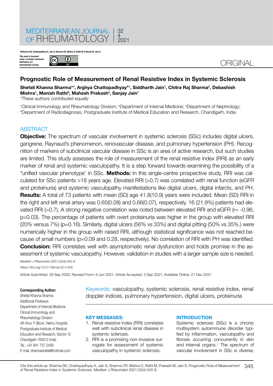

**©Sharma SK, Chattopadhyay A, Jain S, Sharma CR, Mishra D, Rathi M, Prakash M, Jain S.**

**This work is licensed**<br>under a Creative Cor **under a Creative Commons Attribution 4.0 International License.**



## **Prognostic Role of Measurement of Renal Resistive Index in Systemic Sclerosis**

## $\boldsymbol{\mathsf{Shefali}}$  Khanna Sharma\*<sup>1</sup>, Arghya Chattopadhyay\*<sup>1</sup>, Siddharth Jain<sup>1</sup>, Chitra Raj Sharma<sup>2</sup>, Debashish **Mishra1 , Manish Rathi3 , Mahesh Prakash4 , Sanjay Jain1**

*\*These authors contributed equally*

<sup>1</sup>Clinical Immunology and Rheumatology Division; <del>2Department of Internal Medicine; 3Department of Nephrology;<br>4Department of Badiodiagnosis, Postgraduate Institute of Medical Education and Besearch, Chandigarb, India</del> Department of Radiodiagnosis, Postgraduate Institute of Medical Education and Research, Chandigarh, India

#### **ABSTRACT**

**Objective:** The spectrum of vascular involvement in systemic sclerosis (SSc) includes digital ulcers, gangrene, Raynaud's phenomenon, renovascular disease, and pulmonary hypertension (PH). Recognition of markers of subclinical vascular disease in SSc is an area of active research, but such studies are limited. This study assesses the role of measurement of the renal resistive index (RRI) as an early marker of renal and systemic vasculopathy. It is a step forward towards examining the possibility of a "unified vascular phenotype' in SSc. **Methods:** In this single-centre prospective study, RRI was calculated for SSc patients >18 years age. Elevated RRI (>0.7) was correlated with renal function (eGFR and proteinuria) and systemic vasculopathy manifestations like digital ulcers, digital infarcts, and PH. **Results:** A total of 73 patients with mean (SD) age 41.8(10.9) years were included. Mean (SD) RRI in the right and left renal artery was 0.65(0.08) and 0.66(0.07), respectively. 16 (21.9%) patients had elevated RRI (>0.7). A strong negative correlation was noted between elevated RRI and eGFR (r= -0.96, p=0.03). The percentage of patients with overt proteinuria was higher in the group with elevated RRI (20% versus 7%) (p=0.16). Similarly, digital ulcers (56% vs 33%) and digital pitting (50% vs 35%.) were numerically higher in the group with raised RRI, although statistical significance was not reached because of small numbers (p=0.09 and 0.28, respectively). No correlation of RRI with PH was identified. **Conclusion:** RRI correlates well with asymptomatic renal dysfunction and holds promise in the assessment of systemic vasculopathy. However, validation in studies with a larger sample size is needed.

*Mediterr J Rheumatol 2021;32(4):345-9* https://doi.org/10.31138/mjr.32.4.345

Article Submitted: 29 Sep 2020; Revised Form: 6 Jun 2021; Article Accepted: 3 Sep 2021; Available Online: 27 Dec 2021

#### **Corresponding Author:**

Shefali Khanna Sharma Additional Professor, Department of Internal Medicine Clinical Immunology and Rheumatology Division 4th floor, F-Block, Nehru Hospital Postgraduate Institute of Medical Education and Research, Sector-12 Chandigarh 160012 India Tel.: +91 941 737 2439 E-mail: sharmashefali@hotmail.com Keywords: vasculopathy, systemic sclerosis, renal resistive index, renal doppler indices, pulmonary hypertension, digital ulcers, proteinuria

#### **KEY MESSAGES:**

- 1. Renal resistive index (RRI) correlates well with subclinical renal disease in systemic sclerosis.
- 2. RRI is a promising non-invasive surrogate for assessment of systemic vasculopathy in systemic sclerosis.

#### **INTRODUCTION**

Systemic sclerosis (SSc) is a chronic multisystem autoimmune disorder typified by inflammation, vasculopathy and fibrosis occurring concurrently in skin and internal organs.<sup>1</sup> The spectrum of vascular involvement in SSc is diverse,

345 Cite this article as: Sharma SK, Chattopadhyay A, Jain S, Sharma CR, Mishra D, Rathi M, Prakash M, Jain S. Prognostic Role of Measurement of Renal Resistive Index in Systemic Sclerosis. Mediterr J Rheumatol 2021;32(4):345-9.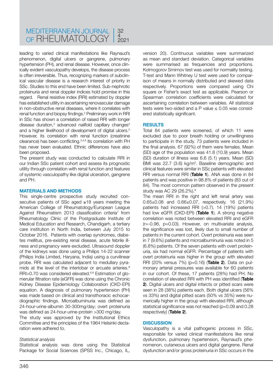leading to varied clinical manifestations like Raynaud's phenomenon, digital ulcers or gangrene, pulmonary hypertension (PH), and renal disease. However, once clinically evident vasculopathy develops, the disease process is often irreversible. Thus, recognizing markers of subclinical vascular disease is a research interest of priority in SSc. Studies to this end have been limited. Sub-nephrotic proteinuria and renal doppler indices hold promise in this regard. Renal resistive index (RRI) estimated by doppler has established utility in ascertaining renovascular damage in non-obstructive renal diseases, where it correlates with renal function and biopsy findings.<sup>2</sup> Preliminary work in RRI in SSc has shown a correlation of raised RRI with longer disease duration,<sup>3</sup> advanced nailfold capillary changes<sup>4</sup> and a higher likelihood of development of digital ulcers.<sup>5</sup> However, its correlation with renal function (creatinine clearance) has been conflicting.3,4,6 Its correlation with PH has never been evaluated. Ethnic differences have also been proposed.

The present study was conducted to calculate RRI in our Indian SSc patient cohort and assess its prognostic utility through correlation with renal function and features of systemic vasculopathy like digital ulceration, gangrene and PH.

#### **MATERIALS AND METHODS**

This single-centre prospective study recruited consecutive patients of SSc aged ≥18 years meeting the American College of Rheumatology/European League Against Rheumatism 2013 classification criteria<sup>7</sup> from Rheumatology Clinic of the Postgraduate Institute of Medical Education and Research, Chandigarh, a tertiary care institution in North India, between July 2015 to October 2016. Patients with overlap syndromes, diabetes mellitus, pre-existing renal disease, acute febrile illness and pregnancy were excluded. Ultrasound doppler of the kidneys was done using a Philips 14-22 scanner (Philips India Limited, Haryana, India) using a curvilinear probe. RRI was calculated adjacent to medullary pyramids at the level of the interlobar or arcuate arteries.<sup>8</sup> RRI>0.70 was considered elevated.6,8 Estimation of glomerular filtration rate (eGFR) was done using the Chronic Kidney Disease Epidemiology Collaboration (CKD-EPI) equation. A diagnosis of pulmonary hypertension (PH) was made based on clinical and transthoracic echocardiographic findings. Microalbuminuria was defined as 24-hour-urine-albumin 30-300mg/day; overt proteinuria was defined as 24-hour-urine-protein >300 mg/day.

The study was approved by the Institutional Ethics Committee and the principles of the 1964 Helsinki declaration were adhered to.

#### *Statistical analysis*

Statistical analysis was done using the Statistical Package for Social Sciences (SPSS Inc., Chicago, IL, version 20). Continuous variables were summarized as mean and standard deviation. Categorical variables were summarised as frequencies and proportions. Kolmogorov Smirnov test was used for normality testing. T-test and Mann Whitney U test were used for comparison of means in normally distributed and skewed data respectively. Proportions were compared using Chi square or Fisher's exact test as applicable. Pearson or Spearman correlation coefficients were calculated for ascertaining correlation between variables. All statistical tests were two-sided and a P value  $\leq 0.05$  was considered statistically significant.

#### **RESULTS**

Total 84 patients were screened, of which 11 were excluded due to poor breath holding or unwillingness to participate in the study. 73 patients were included in the final analysis. 67 (92%) of them were females. Mean (SD) age of the population was 41.8 (10.9) years. Mean (SD) duration of illness was 6.6 (5.1) years. Mean (SD) BMI was 22.7 (3.6) kg/m<sup>2</sup>. Baseline demographic and clinical features were similar in SSc patients with elevated RRI versus normal RRI (**Table 1**). ANA was done in 84 patients and was positive in 98.8% of patients (83 out of 84). The most common pattern observed in the present study was AC 29 (26.2%).9

The mean RRI in the right and left renal artery was 0.65±0.08 and 0.66±0.07, respectively. 16 (21.9%) patients had increased RRI (>0.7). 14 (19%) patients had low eGFR (CKD-EPI) (**Table 1**). A strong negative correlation was noted between elevated RRI and eGFR  $(r=-0.96, p=0.03)$ . However, on multivariate analysis, the significance was lost, likely due to small number of patients in the current cohort. Overt proteinuria was seen in 7 (9.6%) patients and microalbuminuria was noted in 5 (6.8%) patients. Of the seven patients with overt proteinuria, six had normal eGFR. Percentage of patients with overt proteinuria was higher in the group with elevated RRI (20% versus 7%) (p=0.16) (**Table 2**). Data on pulmonary arterial pressures was available for 60 patients in our cohort. Of these, 17 patients (28%) had PH. No correlation of elevated RRI with PH was identified (**Table 2**). Digital ulcers and digital infarcts or pitted scars were seen in 28 (38%) patients each. Both digital ulcers (56% vs 33%) and digital pitted scars (50% vs 35%) were numerically higher in the group with elevated RRI, although statistical significance was not reached (p=0.09 and 0.28 respectively) (**Table 2**).

## **DISCUSSION**

Vasculopathy is a vital pathogenic process in SSc, responsible for varied clinical manifestations like renal dysfunction, pulmonary hypertension, Raynaud's phenomenon, cutaneous ulcers and digital gangrene. Renal dysfunction and/or gross proteinuria in SSc occurs in the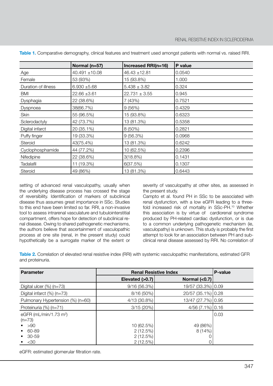|                     | Normal (n=57)      | Increased RRI(n=16) | P value |
|---------------------|--------------------|---------------------|---------|
| Age                 | $40.491 \pm 10.08$ | $46.43 \pm 12.81$   | 0.0540  |
| Female              | 53 (93%)           | 15 (93.8%)          | 1.000   |
| Duration of illness | $6.930 + 5.68$     | $5.438 \pm 3.82$    | 0.324   |
| BMI                 | $22.66 \pm 3.61$   | $22.731 \pm 3.55$   | 0.945   |
| Dysphagia           | 22 (38.6%)         | 7 (43%)             | 0.7521  |
| Dyspnoea            | 38(66.7%)          | 9(56%)              | 0.4329  |
| Skin                | 55 (96.5%)         | 15 (93.8%)          | 0.6323  |
| Sclerodactyly       | 42 (73.7%)         | 13 (81.3%)          | 0.5358  |
| Digital infarct     | 20 (35.1%)         | $8(50\%)$           | 0.2821  |
| Puffy finger        | 19 (33.3%)         | 9(56.3%)            | 0.0968  |
| Steroid             | 43(75.4%)          | 13 (81.3%)          | 0.6242  |
| Cyclophosphamide    | 44 (77.2%)         | 10 (62.5%)          | 0.2396  |
| Nifedipine          | 22 (38.6%)         | 3(18.8%)            | 0.1431  |
| <b>Tadalafil</b>    | 11 (19.3%)         | 6(37.5%)            | 0.1307  |
| Steroid             | 49 (86%)           | 13 (81.3%)          | 0.6443  |

**Table 1.** Comparative demography, clinical features and treatment used amongst patients with normal vs. raised RRI.

setting of advanced renal vasculopathy, usually when the underlying disease process has crossed the stage of reversibility. Identification of markers of subclinical disease thus assumes great importance in SSc. Studies to this end have been limited so far. RRI, a non-invasive tool to assess intrarenal vasculature and tubulointerstitial compartment, offers hope for detection of subclinical renal disease. Owing to shared pathogenetic mechanisms, the authors believe that ascertainment of vasculopathic process at one site (renal, in the present study) could hypothetically be a surrogate marker of the extent or severity of vasculopathy at other sites, as assessed in the present study.

Campto et al. found PH in SSc to be associated with renal dysfunction, with a low eGFR leading to a threefold increased risk of mortality in SSc-PH.10 Whether this association is by virtue of cardiorenal syndrome produced by PH-related cardiac dysfunction, or is due to a common underlying pathogenetic mechanism (ie, vasculopathy) is unknown. This study is probably the first attempt to look for an association between PH and subclinical renal disease assessed by RRI. No correlation of

**Table 2.** Correlation of elevated renal resistive index (RRI) with systemic vasculopathic manifestations, estimated GFR and proteinuria.

| <b>Parameter</b>                                  | <b>Renal Resistive Index</b> |                    | <b>P-value</b> |
|---------------------------------------------------|------------------------------|--------------------|----------------|
|                                                   | Elevated (>0.7)              | Normal $(0.7)$     |                |
| Digital ulcer $(\%)$ (n=73)                       | 9/16(56.3%)                  | 19/57 (33.3%) 0.09 |                |
| Digital infarct $(\%)$ (n=73)                     | 8/16 (50%)                   | 20/57 (35.1%) 0.28 |                |
| Pulmonary Hypertension (%) (n=60)                 | 4/13 (30.8%)                 | 13/47 (27.7%) 0.95 |                |
| Proteinuria (%) (n=71)                            | 3/15(20%)                    | $4/56(7.1\%)$ 0.16 |                |
| eGFR ( $mL/min/1.73$ m <sup>2</sup> )<br>$(n=73)$ |                              |                    | 0.03           |
| $\sim$ >90                                        | 10 (62.5%)                   | 49 (86%)           |                |
| 60-89<br>$\mathbf{m}$                             | 2(12.5%)                     | 8(14%)             |                |
| $-30-59$                                          | 2(12.5%)                     |                    |                |
| $\sim$ <30                                        | 2(12.5%)                     |                    |                |

eGFR: estimated glomerular filtration rate.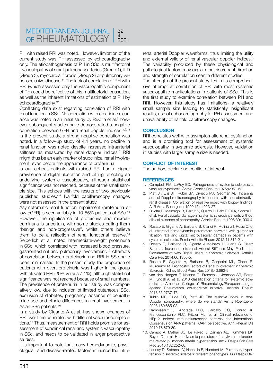PH with raised RRI was noted. However, limitation of the current study was PH assessed by echocardiography only. The etiopathogenesis of PH in SSc is multifactorial - vasculopathy of small pulmonary arteries (Group 1), ILD (Group 3), myocardial fibrosis (Group 2) or pulmonary veno-occlusive disease.11 The lack of correlation of PH with RRI (which assesses only the vasculopathic component of PH) could be reflective of this multifactorial causation, as well as the inherent limitations of estimation of PH by echocardiography.12

Conflicting data exist regarding correlation of RRI with renal function in SSc. No correlation with creatinine clearance was noted in an initial study by Rivolta et al.<sup>3</sup> however subsequent studies have demonstrated a negative correlation between GFR and renal doppler indices.4,6,13 In the present study, a strong negative correlation was noted. In a follow-up study of 4.1 years, no decline in renal function was noted despite increased intraarterial stiffness as measured by renal doppler indices.<sup>6</sup> RRI might thus be an early marker of subclinical renal involvement, even before the appearance of proteinuria.

In our cohort, patients with raised RRI had a higher prevalence of digital ulceration and pitting reflecting an underlying systemic vasculopathy, although statistical significance was not reached, because of the small sample size. This echoes with the results of two previously published studies.4,5 Nailfold capillaroscopy changes were not assessed in the present study.

Asymptomatic renal function impairment (proteinuria or low eGFR) is seen variably in 10-55% patients of SSc.<sup>14</sup> However, the significance of proteinuria and microalbuminuria is uncertain, with some studies calling them "benign and non-progressive", whilst others believe them to be a reflection of renal functional reserve.<sup>14</sup> Seiberlich et al. noted intermediate-weight proteinuria in SSc, which correlated with increased blood pressure, gastrointestinal and pulmonary involvement.15 Attempts at correlation between proteinuria and RRI in SSc have been minimalistic. In the present study, the proportion of patients with overt proteinuria was higher in the group with elevated RRI (20% versus 7.1%), although statistical significance was not reached because of small numbers. The prevalence of proteinuria in our study was comparatively low, due to inclusion of limited cutaneous SSc, exclusion of diabetes, pregnancy, absence of penicillamine use and ethnic differences in renal involvement in Asian SSc patients.16

In a study by Gigante A et al. has shown changes of RRI over time correlated with different vascular complications.17 Thus, measurement of RRI holds promise for assessment of subclinical renal and systemic vasculopathy in SSc, and needs to be validated in larger prospective studies.

It is important to note that many hemodynamic, physiological, and disease-related factors influence the intrarenal arterial Doppler waveforms, thus limiting the utility and external validity of renal vascular doppler indices.<sup>8</sup> The variability produced by these physiological and pathological factors may explain the discrepant direction and strength of correlation seen in different studies.

The strength of the present study lies in its comprehensive attempt at correlation of RRI with most systemic vasculopathic manifestations in patients of SSc. This is the first study to examine correlation between PH and RRI. However, this study has limitations- a relatively small sample size leading to statistically insignificant results, use of echocardiography for PH assessment and unavailability of nailfold capillaroscopy changes.

#### **CONCLUSION**

RRI correlates well with asymptomatic renal dysfunction and is a promising tool for assessment of systemic vasculopathy in systemic sclerosis. However, validation in studies with larger sample size is needed.

#### **CONFLICT OF INTEREST**

The authors declare no conflict of interest.

#### **REFERENCES**

- 1. Campbell PM, LeRoy EC. Pathogenesis of systemic sclerosis: a vascular hypothesis. Semin Arthritis Rheum;1975;4:351-68.
- 2. Platt JF, Ellis JH, Rubin JM, DiPietro MA, Sedman AB. Intrarenal arterial Doppler ultrasonography in patients with non-obstructive renal disease: Correlation of resistive index with biopsy findings. AJR Am J Roentgenol 1990;154:1223-27.
- 3. Rivolta R, Mascagni B, Berruti V, Quarto Di Palo F, Elli A, Scorza R, et al. Renal vascular damage in systemic sclerosis patients without clinical evidence of nephropathy. Arthritis Rheum 1996;39:1030-4.
- 4. Rosato E, Gigante A, Barbano B, Cianci R, Molinaro I, Rossi C, et al. Intrarenal hemodynamic parameters correlate with glomerular filtration rate and digital microvascular damage in patients with systemic sclerosis. Semin Arthritis Rheum 2012;41:815-21.
- 5. Rosato E, Barbano B, Gigante A,Molinaro I, Quarta S, Pisarri S, et al. Increased Intrarenal Arterial Stiffness May Predict the Occurrence of New Digital Ulcers in Systemic Sclerosis. Arthritis Care Res 2014;66:1380-5.
- 6. Rosato E, Gigante A, Barbano B, Gasperini ML, Cianci R, Muscaritoli M. Prognostic Factors of Renal Involvement in Systemic Sclerosis. Kidney Blood Press Res 2018;43:682-9.
- 7. van den Hoogen F, Khanna D, Fransen J, Johnson SR, Baron M, Tyndall A, et al. 2013 classification criteria for systemic sclerosis: an American College of Rheumatology/European League against Rheumatism collaborative initiative. Arthritis Rheum 2013;65:2737-47.
- 8. Tublin ME, Bude RO, Platt JF. The resistive index in renal Doppler sonography: where do we stand? Am J Roentgenol 2003;180:885-92.
- 9. Damoiseaux J, Andrade LEC, Carballo OG, Conrad K, Francescantonio PLC, Fritzler MJ, et al. Clinical relevance of HEp-2 indirect immunofluorescent patterns: the International Consensus on ANA patterns (ICAP) perspective. Ann Rheum Dis 2019;78:879-89.
- 10. Campo A, Mathai SC, Le Pavec J, Zaiman AL, Hummers LK, Boyce D, et al. Hemodynamic predictors of survival in scleroderma-related pulmonary arterial hypertension. Am J Respir Crit Care Med 2010;182:252-60.
- 11. Launay D, Sobanski V, Hachulla E, Humbert M. Pulmonary hypertension in systemic sclerosis: different phenotypes. Eur Respir Rev